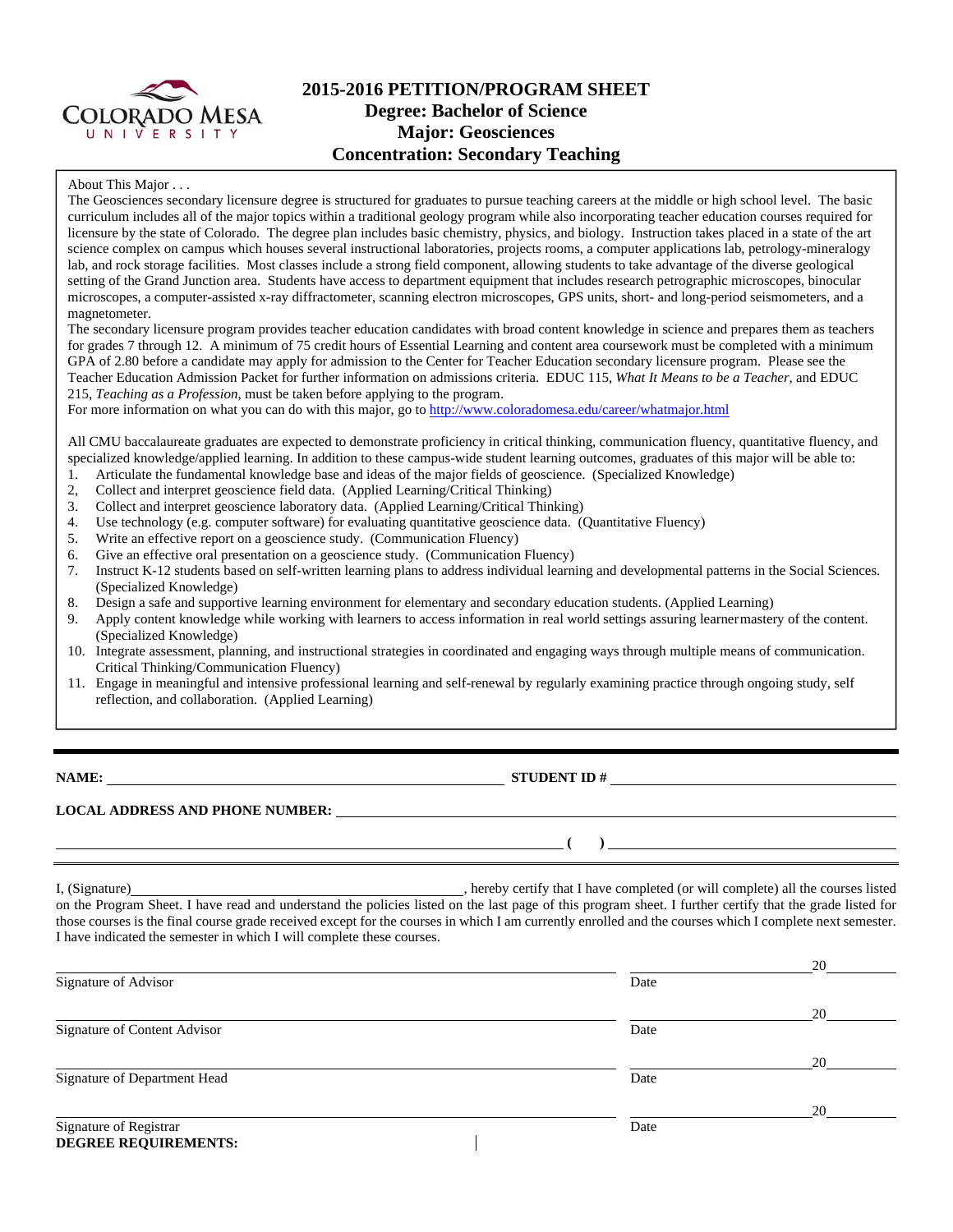

# **2015-2016 PETITION/PROGRAM SHEET Degree: Bachelor of Science Major: Geosciences Concentration: Secondary Teaching**

#### About This Major . . .

The Geosciences secondary licensure degree is structured for graduates to pursue teaching careers at the middle or high school level. The basic curriculum includes all of the major topics within a traditional geology program while also incorporating teacher education courses required for licensure by the state of Colorado. The degree plan includes basic chemistry, physics, and biology. Instruction takes placed in a state of the art science complex on campus which houses several instructional laboratories, projects rooms, a computer applications lab, petrology-mineralogy lab, and rock storage facilities. Most classes include a strong field component, allowing students to take advantage of the diverse geological setting of the Grand Junction area. Students have access to department equipment that includes research petrographic microscopes, binocular microscopes, a computer-assisted x-ray diffractometer, scanning electron microscopes, GPS units, short- and long-period seismometers, and a magnetometer.

The secondary licensure program provides teacher education candidates with broad content knowledge in science and prepares them as teachers for grades 7 through 12. A minimum of 75 credit hours of Essential Learning and content area coursework must be completed with a minimum GPA of 2.80 before a candidate may apply for admission to the Center for Teacher Education secondary licensure program. Please see the Teacher Education Admission Packet for further information on admissions criteria. EDUC 115, *What It Means to be a Teacher*, and EDUC 215, *Teaching as a Profession*, must be taken before applying to the program.

For more information on what you can do with this major, go to http://www.coloradomesa.edu/career/whatmajor.html

All CMU baccalaureate graduates are expected to demonstrate proficiency in critical thinking, communication fluency, quantitative fluency, and specialized knowledge/applied learning. In addition to these campus-wide student learning outcomes, graduates of this major will be able to:

- 1. Articulate the fundamental knowledge base and ideas of the major fields of geoscience. (Specialized Knowledge)
- 2, Collect and interpret geoscience field data. (Applied Learning/Critical Thinking)
- 3. Collect and interpret geoscience laboratory data. (Applied Learning/Critical Thinking)
- 4. Use technology (e.g. computer software) for evaluating quantitative geoscience data. (Quantitative Fluency)
- 5. Write an effective report on a geoscience study. (Communication Fluency)
- 6. Give an effective oral presentation on a geoscience study. (Communication Fluency)
- 7. Instruct K-12 students based on self-written learning plans to address individual learning and developmental patterns in the Social Sciences. (Specialized Knowledge)
- 8. Design a safe and supportive learning environment for elementary and secondary education students. (Applied Learning)
- 9. Apply content knowledge while working with learners to access information in real world settings assuring learner mastery of the content. (Specialized Knowledge)
- 10. Integrate assessment, planning, and instructional strategies in coordinated and engaging ways through multiple means of communication. Critical Thinking/Communication Fluency)
- 11. Engage in meaningful and intensive professional learning and self-renewal by regularly examining practice through ongoing study, self reflection, and collaboration. (Applied Learning)

**NAME:** STUDENT ID #

 $($   $)$   $)$ 

## **LOCAL ADDRESS AND PHONE NUMBER:**

I, (Signature) , hereby certify that I have completed (or will complete) all the courses listed on the Program Sheet. I have read and understand the policies listed on the last page of this program sheet. I further certify that the grade listed for those courses is the final course grade received except for the courses in which I am currently enrolled and the courses which I complete next semester. I have indicated the semester in which I will complete these courses.

|                              |      | 20 |
|------------------------------|------|----|
| Signature of Advisor         | Date |    |
|                              |      | 20 |
| Signature of Content Advisor | Date |    |
|                              |      | 20 |
| Signature of Department Head | Date |    |
|                              |      | 20 |
| Signature of Registrar       | Date |    |
| <b>DEGREE REQUIREMENTS:</b>  |      |    |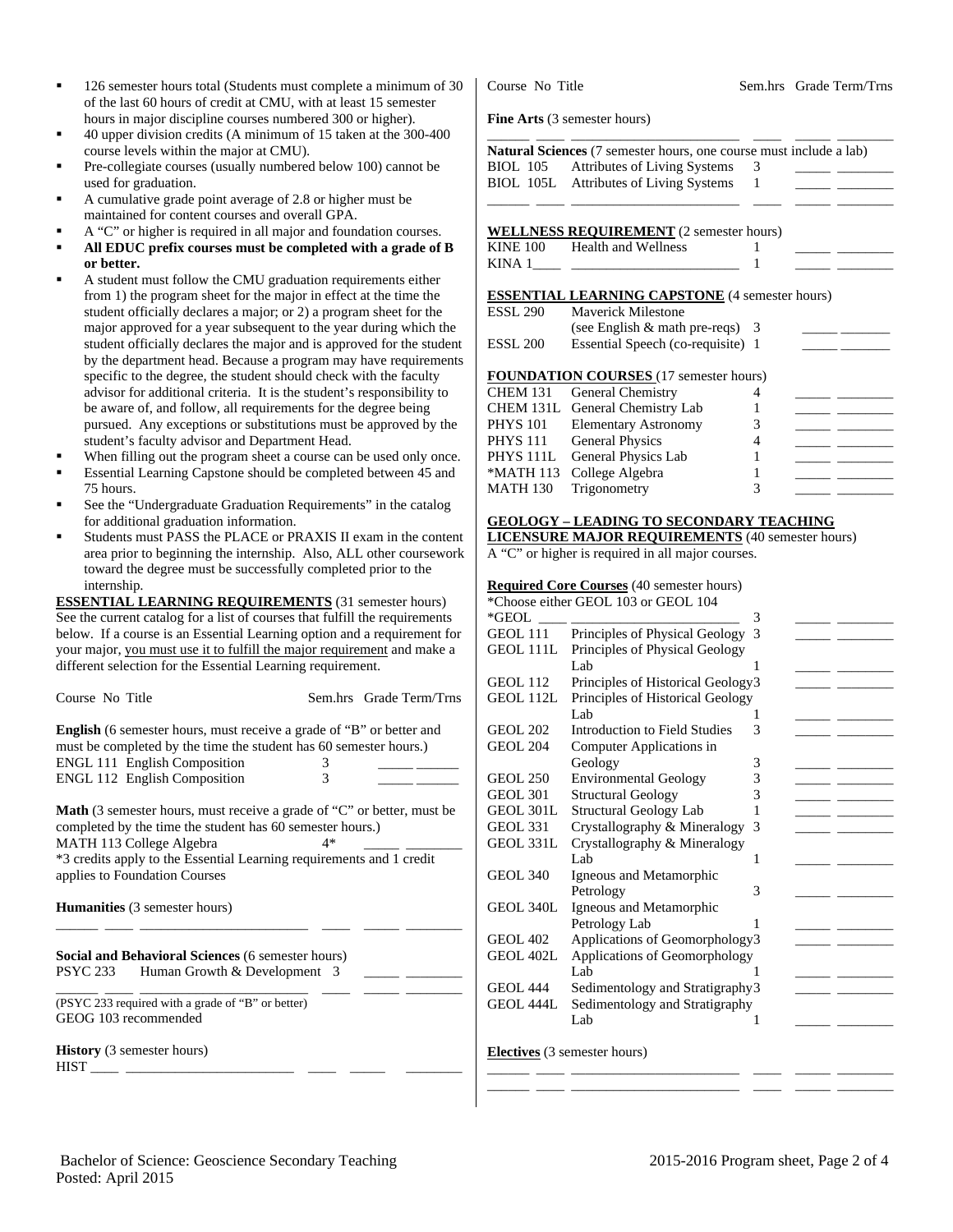- 126 semester hours total (Students must complete a minimum of 30 of the last 60 hours of credit at CMU, with at least 15 semester hours in major discipline courses numbered 300 or higher).
- 40 upper division credits (A minimum of 15 taken at the 300-400 course levels within the major at CMU).
- Pre-collegiate courses (usually numbered below 100) cannot be used for graduation.
- A cumulative grade point average of 2.8 or higher must be maintained for content courses and overall GPA.
- A "C" or higher is required in all major and foundation courses.
- **All EDUC prefix courses must be completed with a grade of B or better.**
- A student must follow the CMU graduation requirements either from 1) the program sheet for the major in effect at the time the student officially declares a major; or 2) a program sheet for the major approved for a year subsequent to the year during which the student officially declares the major and is approved for the student by the department head. Because a program may have requirements specific to the degree, the student should check with the faculty advisor for additional criteria. It is the student's responsibility to be aware of, and follow, all requirements for the degree being pursued. Any exceptions or substitutions must be approved by the student's faculty advisor and Department Head.
- When filling out the program sheet a course can be used only once. Essential Learning Capstone should be completed between 45 and
- 75 hours. See the "Undergraduate Graduation Requirements" in the catalog for additional graduation information.
- Students must PASS the PLACE or PRAXIS II exam in the content area prior to beginning the internship. Also, ALL other coursework toward the degree must be successfully completed prior to the internship.

**ESSENTIAL LEARNING REQUIREMENTS** (31 semester hours) See the current catalog for a list of courses that fulfill the requirements below. If a course is an Essential Learning option and a requirement for your major, you must use it to fulfill the major requirement and make a different selection for the Essential Learning requirement.

| Course No Title                                                                                                                                                                                                                                                                       |        | Sem.hrs Grade Term/Trns |  |  |  |  |
|---------------------------------------------------------------------------------------------------------------------------------------------------------------------------------------------------------------------------------------------------------------------------------------|--------|-------------------------|--|--|--|--|
| <b>English</b> (6 semester hours, must receive a grade of "B" or better and<br>must be completed by the time the student has 60 semester hours.)<br><b>ENGL 111 English Composition</b><br><b>ENGL 112 English Composition</b>                                                        | 3<br>3 |                         |  |  |  |  |
| <b>Math</b> (3 semester hours, must receive a grade of "C" or better, must be<br>completed by the time the student has 60 semester hours.)<br>MATH 113 College Algebra<br>4*<br>*3 credits apply to the Essential Learning requirements and 1 credit<br>applies to Foundation Courses |        |                         |  |  |  |  |
| <b>Humanities</b> (3 semester hours)                                                                                                                                                                                                                                                  |        |                         |  |  |  |  |
| <b>Social and Behavioral Sciences (6 semester hours)</b><br>Human Growth & Development 3<br>PSYC 233                                                                                                                                                                                  |        |                         |  |  |  |  |
| (PSYC 233 required with a grade of "B" or better)<br>GEOG 103 recommended                                                                                                                                                                                                             |        |                         |  |  |  |  |
| <b>History</b> (3 semester hours)<br><b>HIST</b><br>the company of the company of the company of                                                                                                                                                                                      |        |                         |  |  |  |  |

Course No Title Sem.hrs Grade Term/Trns

**Fine Arts** (3 semester hours)

|                 | <b>Natural Sciences</b> (7 semester hours, one course must include a lab) |   |  |
|-----------------|---------------------------------------------------------------------------|---|--|
| <b>BIOL</b> 105 | <b>Attributes of Living Systems</b>                                       | 3 |  |
|                 | BIOL 105L Attributes of Living Systems                                    |   |  |
|                 |                                                                           |   |  |
|                 | <b>WELLNESS REQUIREMENT</b> (2 semester hours)                            |   |  |
| <b>KINE 100</b> | Health and Wellness                                                       |   |  |
| KINA 1          |                                                                           |   |  |
|                 | <b>ESSENTIAL LEARNING CAPSTONE</b> (4 semester hours)                     |   |  |
| <b>ESSL 290</b> | Maverick Milestone                                                        |   |  |
|                 | (see English $&$ math pre-reqs) 3                                         |   |  |
| <b>ESSL 200</b> | Essential Speech (co-requisite) 1                                         |   |  |
|                 | <b>FOUNDATION COURSES</b> (17 semester hours)                             |   |  |
| CHEM 131        | General Chemistry                                                         |   |  |
|                 | CHEM 131L General Chemistry Lab                                           |   |  |

| <b>FOUNDATION COURSES</b> (17 semester hours) |                                 |   |  |  |  |  |
|-----------------------------------------------|---------------------------------|---|--|--|--|--|
|                                               | CHEM 131 General Chemistry      |   |  |  |  |  |
|                                               | CHEM 131L General Chemistry Lab |   |  |  |  |  |
|                                               | PHYS 101 Elementary Astronomy   | 3 |  |  |  |  |
|                                               | PHYS 111 General Physics        |   |  |  |  |  |
|                                               | PHYS 111L General Physics Lab   |   |  |  |  |  |
|                                               | *MATH 113 College Algebra       |   |  |  |  |  |
|                                               | MATH 130 Trigonometry           |   |  |  |  |  |

## **GEOLOGY – LEADING TO SECONDARY TEACHING**

**LICENSURE MAJOR REQUIREMENTS** (40 semester hours)

A "C" or higher is required in all major courses.

## **Required Core Courses** (40 semester hours)

|                  | *Choose either GEOL 103 or GEOL 104 |   |  |
|------------------|-------------------------------------|---|--|
| *GEOL            |                                     | 3 |  |
| <b>GEOL 111</b>  | Principles of Physical Geology      | 3 |  |
| GEOL 111L        | Principles of Physical Geology      |   |  |
|                  | Lab                                 |   |  |
| GEOL 112         | Principles of Historical Geology3   |   |  |
| GEOL 112L        | Principles of Historical Geology    |   |  |
|                  | Lab.                                | 1 |  |
| <b>GEOL 202</b>  | Introduction to Field Studies       | 3 |  |
| <b>GEOL 204</b>  | Computer Applications in            |   |  |
|                  | Geology                             | 3 |  |
| <b>GEOL 250</b>  | <b>Environmental Geology</b>        | 3 |  |
| <b>GEOL 301</b>  | <b>Structural Geology</b>           | 3 |  |
| GEOL 301L        | <b>Structural Geology Lab</b>       | 1 |  |
| <b>GEOL 331</b>  | Crystallography & Mineralogy        | 3 |  |
| GEOL 331L        | Crystallography & Mineralogy        |   |  |
|                  | Lab                                 | 1 |  |
| <b>GEOL 340</b>  | Igneous and Metamorphic             |   |  |
|                  | Petrology                           | 3 |  |
| GEOL 340L        | Igneous and Metamorphic             |   |  |
|                  | Petrology Lab                       |   |  |
| <b>GEOL 402</b>  | Applications of Geomorphology3      |   |  |
| GEOL 402L        | Applications of Geomorphology       |   |  |
|                  | Lab                                 | 1 |  |
| <b>GEOL 444</b>  | Sedimentology and Stratigraphy 3    |   |  |
| <b>GEOL 444L</b> | Sedimentology and Stratigraphy      |   |  |
|                  | Lab                                 | 1 |  |
|                  |                                     |   |  |
|                  | <b>Electives</b> (3 semester hours) |   |  |
|                  |                                     |   |  |

\_\_\_\_\_\_ \_\_\_\_ \_\_\_\_\_\_\_\_\_\_\_\_\_\_\_\_\_\_\_\_\_\_\_\_ \_\_\_\_ \_\_\_\_\_ \_\_\_\_\_\_\_\_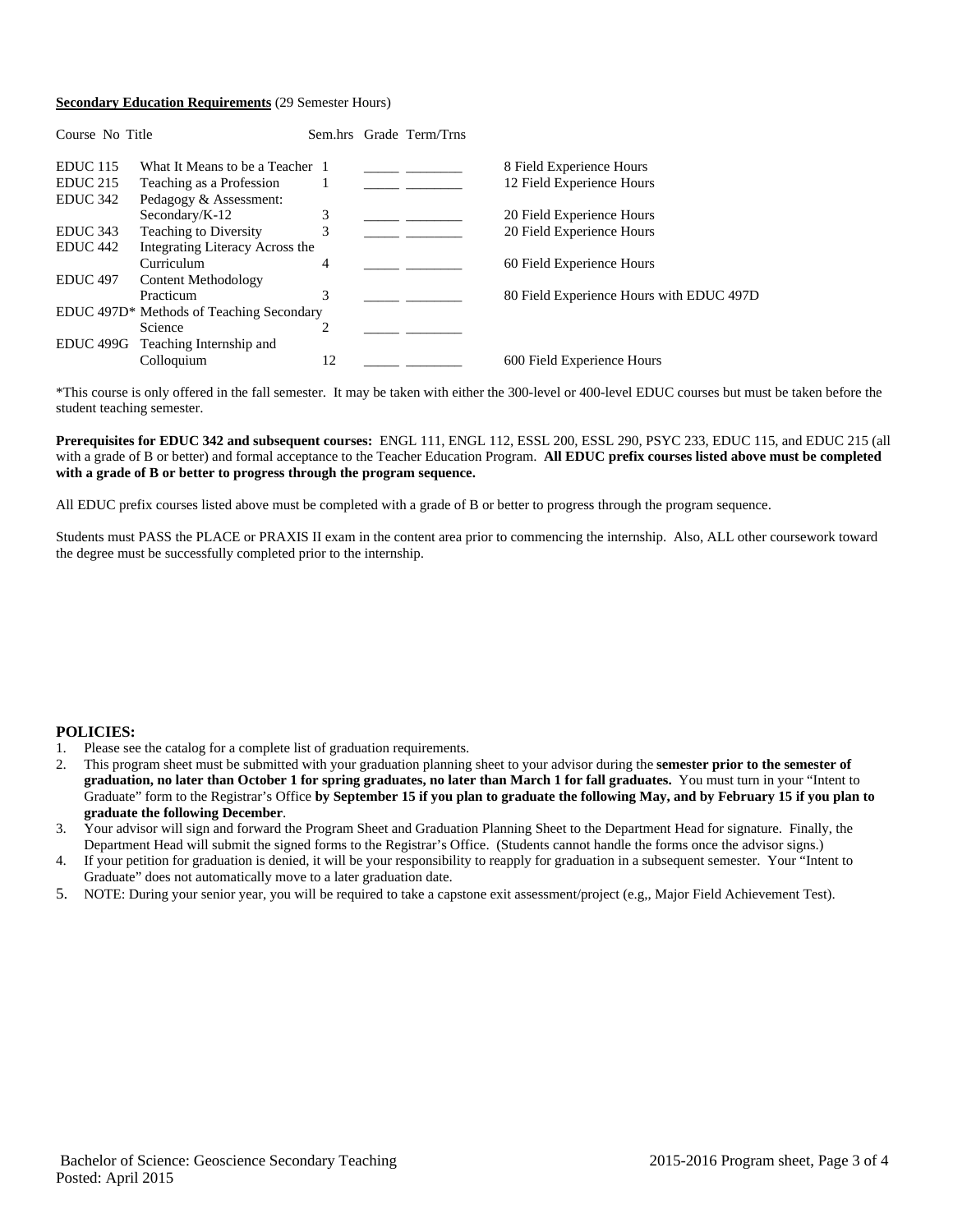#### **Secondary Education Requirements** (29 Semester Hours)

| Course No Title      |                                                      |                               | Sem.hrs Grade Term/Trns |                                          |
|----------------------|------------------------------------------------------|-------------------------------|-------------------------|------------------------------------------|
| <b>EDUC</b> 115      | What It Means to be a Teacher 1                      |                               |                         | 8 Field Experience Hours                 |
| <b>EDUC 215</b>      | Teaching as a Profession                             |                               |                         | 12 Field Experience Hours                |
| EDUC <sub>342</sub>  | Pedagogy & Assessment:                               |                               |                         |                                          |
|                      | Secondary/ $K-12$                                    | 3                             |                         | 20 Field Experience Hours                |
| EDUC <sub>343</sub>  | Teaching to Diversity                                | 3                             |                         | 20 Field Experience Hours                |
| EDUC <sub>442</sub>  | Integrating Literacy Across the                      |                               |                         |                                          |
|                      | Curriculum                                           | 4                             |                         | 60 Field Experience Hours                |
| <b>EDUC</b> 497      | Content Methodology                                  |                               |                         |                                          |
|                      | Practicum                                            | 3                             |                         | 80 Field Experience Hours with EDUC 497D |
|                      | EDUC 497D <sup>*</sup> Methods of Teaching Secondary |                               |                         |                                          |
|                      | Science                                              | $\mathfrak{D}_{\mathfrak{p}}$ |                         |                                          |
| EDUC <sub>499G</sub> | Teaching Internship and                              |                               |                         |                                          |
|                      | Colloquium                                           | 12                            |                         | 600 Field Experience Hours               |

\*This course is only offered in the fall semester. It may be taken with either the 300-level or 400-level EDUC courses but must be taken before the student teaching semester.

#### **Prerequisites for EDUC 342 and subsequent courses:** ENGL 111, ENGL 112, ESSL 200, ESSL 290, PSYC 233, EDUC 115, and EDUC 215 (all with a grade of B or better) and formal acceptance to the Teacher Education Program. **All EDUC prefix courses listed above must be completed with a grade of B or better to progress through the program sequence.**

All EDUC prefix courses listed above must be completed with a grade of B or better to progress through the program sequence.

Students must PASS the PLACE or PRAXIS II exam in the content area prior to commencing the internship. Also, ALL other coursework toward the degree must be successfully completed prior to the internship.

## **POLICIES:**

- 1. Please see the catalog for a complete list of graduation requirements.
- 2. This program sheet must be submitted with your graduation planning sheet to your advisor during the **semester prior to the semester of graduation, no later than October 1 for spring graduates, no later than March 1 for fall graduates.** You must turn in your "Intent to Graduate" form to the Registrar's Office **by September 15 if you plan to graduate the following May, and by February 15 if you plan to graduate the following December**.
- 3. Your advisor will sign and forward the Program Sheet and Graduation Planning Sheet to the Department Head for signature. Finally, the Department Head will submit the signed forms to the Registrar's Office. (Students cannot handle the forms once the advisor signs.)
- 4. If your petition for graduation is denied, it will be your responsibility to reapply for graduation in a subsequent semester. Your "Intent to Graduate" does not automatically move to a later graduation date.
- 5. NOTE: During your senior year, you will be required to take a capstone exit assessment/project (e.g,, Major Field Achievement Test).